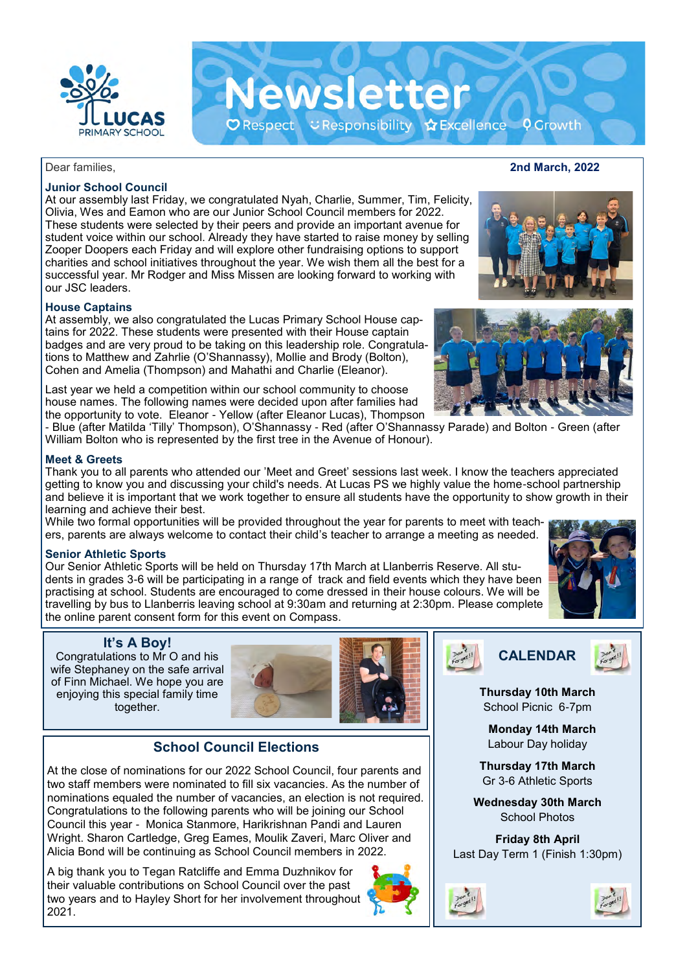

Dear families, **2nd March, 2022**

#### **Junior School Council**

At our assembly last Friday, we congratulated Nyah, Charlie, Summer, Tim, Felicity, Olivia, Wes and Eamon who are our Junior School Council members for 2022. These students were selected by their peers and provide an important avenue for student voice within our school. Already they have started to raise money by selling Zooper Doopers each Friday and will explore other fundraising options to support charities and school initiatives throughout the year. We wish them all the best for a successful year. Mr Rodger and Miss Missen are looking forward to working with our JSC leaders.

#### **House Captains**

At assembly, we also congratulated the Lucas Primary School House captains for 2022. These students were presented with their House captain badges and are very proud to be taking on this leadership role. Congratulations to Matthew and Zahrlie (O'Shannassy), Mollie and Brody (Bolton), Cohen and Amelia (Thompson) and Mahathi and Charlie (Eleanor).

Last year we held a competition within our school community to choose house names. The following names were decided upon after families had the opportunity to vote. Eleanor - Yellow (after Eleanor Lucas), Thompson

- Blue (after Matilda 'Tilly' Thompson), O'Shannassy - Red (after O'Shannassy Parade) and Bolton - Green (after William Bolton who is represented by the first tree in the Avenue of Honour).

Newsletter

O Respect こResponsibility ☆Excellence ? Growth

### **Meet & Greets**

Thank you to all parents who attended our 'Meet and Greet' sessions last week. I know the teachers appreciated getting to know you and discussing your child's needs. At Lucas PS we highly value the home-school partnership and believe it is important that we work together to ensure all students have the opportunity to show growth in their learning and achieve their best.

While two formal opportunities will be provided throughout the year for parents to meet with teachers, parents are always welcome to contact their child's teacher to arrange a meeting as needed.

#### **Senior Athletic Sports**

Our Senior Athletic Sports will be held on Thursday 17th March at Llanberris Reserve. All students in grades 3-6 will be participating in a range of track and field events which they have been practising at school. Students are encouraged to come dressed in their house colours. We will be travelling by bus to Llanberris leaving school at 9:30am and returning at 2:30pm. Please complete the online parent consent form for this event on Compass.

# **It's A Boy!**

Congratulations to Mr O and his wife Stephaney on the safe arrival of Finn Michael. We hope you are enjoying this special family time together.



# **School Council Elections**

At the close of nominations for our 2022 School Council, four parents and two staff members were nominated to fill six vacancies. As the number of nominations equaled the number of vacancies, an election is not required. Congratulations to the following parents who will be joining our School Council this year - Monica Stanmore, Harikrishnan Pandi and Lauren Wright. Sharon Cartledge, Greg Eames, Moulik Zaveri, Marc Oliver and Alicia Bond will be continuing as School Council members in 2022.

A big thank you to Tegan Ratcliffe and Emma Duzhnikov for their valuable contributions on School Council over the past two years and to Hayley Short for her involvement throughout 2021.





**Thursday 10th March**  School Picnic 6-7pm

 **Monday 14th March**  Labour Day holiday

**Thursday 17th March**  Gr 3-6 Athletic Sports

**Wednesday 30th March**  School Photos

**Friday 8th April**  Last Day Term 1 (Finish 1:30pm)













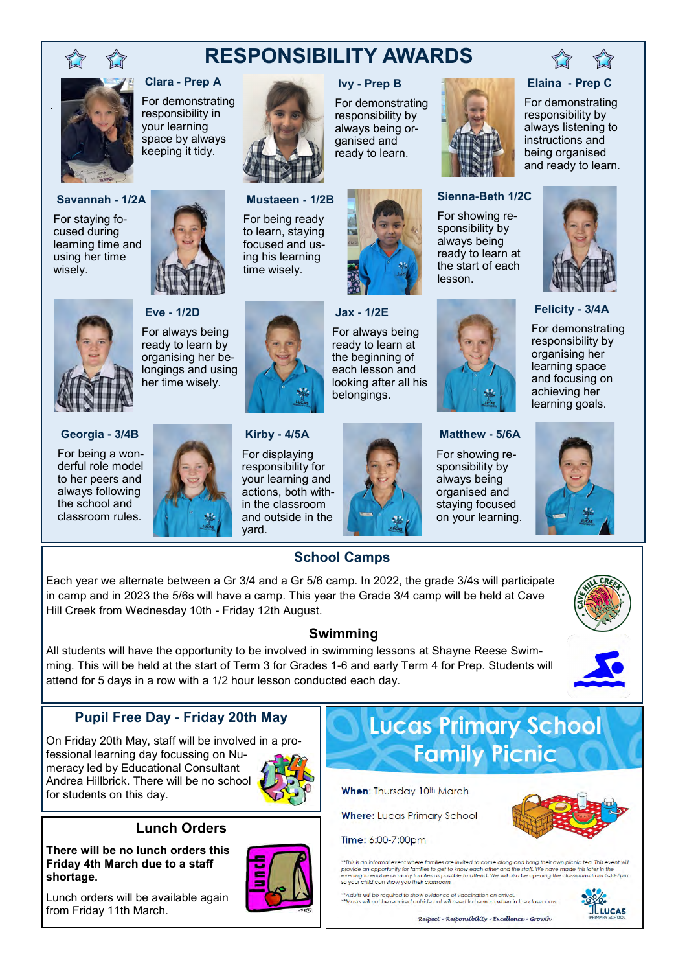

# **RESPONSIBILITY AWARDS**

**Ivy - Prep B**

For demonstrating responsibility by always being organised and ready to learn.



#### **Elaina - Prep C**

For demonstrating responsibility by always listening to instructions and being organised and ready to learn.



.

# **Clara - Prep A**

For demonstrating responsibility in your learning space by always keeping it tidy.

#### **Savannah - 1/2A**

For staying focused during learning time and using her time wisely.





**Eve - 1/2D** For always being ready to learn by organising her belongings and using

#### **Georgia - 3/4B**

For being a wonderful role model to her peers and always following the school and classroom rules.



# **Kirby - 4/5A**

**Mustaeen - 1/2B** For being ready to learn, staying focused and using his learning time wisely.

For displaying responsibility for your learning and actions, both within the classroom and outside in the yard.





**Jax - 1/2E**

For always being ready to learn at the beginning of each lesson and looking after all his belongings.

# **Matthew - 5/6A**

For showing responsibility by always being ready to learn at the start of each

lesson.

For showing responsibility by always being organised and staying focused on your learning.



**Felicity - 3/4A**

For demonstrating responsibility by organising her learning space and focusing on achieving her learning goals.





Each year we alternate between a Gr 3/4 and a Gr 5/6 camp. In 2022, the grade 3/4s will participate in camp and in 2023 the 5/6s will have a camp. This year the Grade 3/4 camp will be held at Cave Hill Creek from Wednesday 10th - Friday 12th August.

#### **Swimming**

All students will have the opportunity to be involved in swimming lessons at Shayne Reese Swimming. This will be held at the start of Term 3 for Grades 1-6 and early Term 4 for Prep. Students will attend for 5 days in a row with a 1/2 hour lesson conducted each day.

### **Pupil Free Day - Friday 20th May**

On Friday 20th May, staff will be involved in a professional learning day focussing on Numeracy led by Educational Consultant Andrea Hillbrick. There will be no school for students on this day.



# **Lunch Orders**

**There will be no lunch orders this Friday 4th March due to a staff shortage.**



**Lucas Primary School Family Picnic** 

When: Thursday 10th March

**Where:** Lucas Primary School

Time: 6:00-7:00pm

\*\*This is an informal event where families are invited to come along and bring their own picnic tea. This event will<br>provide an opportunity for families to get to know each other and the staff. We have made this later in t

Respect - Responsibility - Excellence - Growth

.<br>\*Adults will be required to show evidence of vaccination on arrival.<br>\*Masks will not be required outside but will need to be worn when in the classrooms.



Lunch orders will be available again from Friday 11th March.